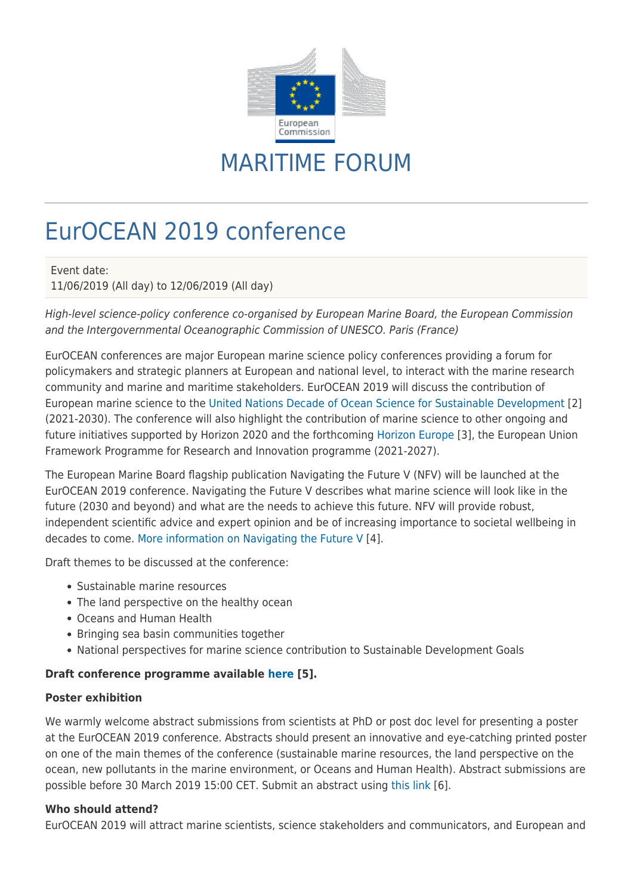

## MARITIME FORUM

# EurOCEAN 2019 conference

Event date:

11/06/2019 (All day) to 12/06/2019 (All day)

High-level science-policy conference co-organised by European Marine Board, the European Commission and the Intergovernmental Oceanographic Commission of UNESCO. Paris (France)

EurOCEAN conferences are major European marine science policy conferences providing a forum for policymakers and strategic planners at European and national level, to interact with the marine research community and marine and maritime stakeholders. EurOCEAN 2019 will discuss the contribution of European marine science to the [United Nations Decade of Ocean Science for Sustainable Development](https://en.unesco.org/ocean-decade) [2] (2021-2030). The conference will also highlight the contribution of marine science to other ongoing and future initiatives supported by Horizon 2020 and the forthcoming [Horizon Europe](https://ec.europa.eu/info/designing-next-research-and-innovation-framework-programme/what-shapes-next-framework-programme_en) [3], the European Union Framework Programme for Research and Innovation programme (2021-2027).

The European Marine Board flagship publication Navigating the Future V (NFV) will be launched at the EurOCEAN 2019 conference. Navigating the Future V describes what marine science will look like in the future (2030 and beyond) and what are the needs to achieve this future. NFV will provide robust, independent scientific advice and expert opinion and be of increasing importance to societal wellbeing in decades to come. [More information on Navigating the Future V](http://www.marineboard.eu/navigating-future) [4].

Draft themes to be discussed at the conference:

- Sustainable marine resources
- The land perspective on the healthy ocean
- Oceans and Human Health
- Bringing sea basin communities together
- National perspectives for marine science contribution to Sustainable Development Goals

### **Draft conference programme available [here](http://www.euroceanconferences.eu/eurocean-2019-conference-programme) [5].**

#### **Poster exhibition**

We warmly welcome abstract submissions from scientists at PhD or post doc level for presenting a poster at the EurOCEAN 2019 conference. Abstracts should present an innovative and eye-catching printed poster on one of the main themes of the conference (sustainable marine resources, the land perspective on the ocean, new pollutants in the marine environment, or Oceans and Human Health). Abstract submissions are possible before 30 March 2019 15:00 CET. Submit an abstract using [this link](http://www.euroceanconferences.eu/eurocean-2019-poster-competition) [6].

#### **Who should attend?**

EurOCEAN 2019 will attract marine scientists, science stakeholders and communicators, and European and